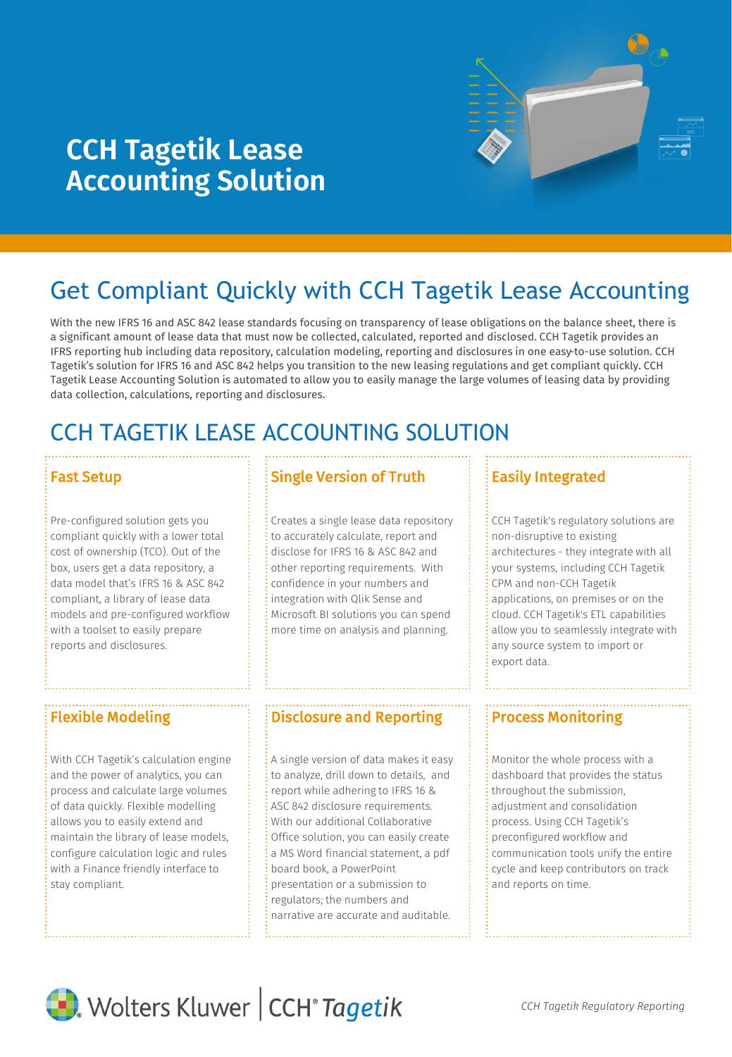

# **CCH Tagetik Lease Accounting Solution**

# Get Compliant Quickly with CCH Tagetik Lease Accounting

With the new IFRS 16 and ASC 842 lease standards focusing on transparency of lease obligations on the balance sheet, there is a significant amount of lease data that must now be collected, calculated, reported and disclosed. CCH Tagetik provides an IFRS reporting hub including data repository, calculation modeling, reporting and disclosures in one easy-to-use solution. CCH Tagetik's solution for IFRS 16 and ASC 842 helps you transition to the new leasing regulations and get compliant quickly. CCH Tagetik Lease Accounting Solution is automated to allow you to easily manage the large volumes of leasing data by providing data collection, calculations, reporting and disclosures.

# CCH TAGETIK LEASE ACCOUNTING SOLUTION

Pre-configured solution gets you compliant quickly with a lower total cost of ownership (TCO). Out of the box, users get a data repository, a data model that's IFRS 16 & ASC 842 compliant, a library of lease data models and pre-configured workflow with a toolset to easily prepare reports and disclosures.

With CCH Tagetik's calculation engine and the power of analytics, you can process and calculate large volumes of data quickly. Flexible modelling allows you to easily extend and maintain the library of lease models, configure calculation logic and rules with a Finance friendly interface to stay compliant.

# **Fast Setup Single Version of Truth**

Creates a single lease data repository to accurately calculate, report and disclose for IFRS 16 & ASC 842 and other reporting requirements. With confidence in your numbers and integration with Qlik Sense and Microsoft BI solutions you can spend more time on analysis and planning.

## Flexible Modeling **Process Monitoring Process Monitoring** Process Monitoring

A single version of data makes it easy to analyze, drill down to details, and report while adhering to IFRS 16 & ASC 842 disclosure requirements. With our additional Collaborative Office solution, you can easily create a MS Word financial statement, a pdf board book, a PowerPoint presentation or a submission to regulators; the numbers and narrative are accurate and auditable.

## Easily Integrated

CCH Tagetik's regulatory solutions are non-disruptive to existing architectures - they integrate with all your systems, including CCH Tagetik CPM and non-CCH Tagetik applications, on premises or on the cloud. CCH Tagetik's ETL capabilities allow you to seamlessly integrate with any source system to import or export data.

Monitor the whole process with a dashboard that provides the status throughout the submission, adjustment and consolidation process. Using CCH Tagetik's preconfigured workflow and communication tools unify the entire cycle and keep contributors on track and reports on time.